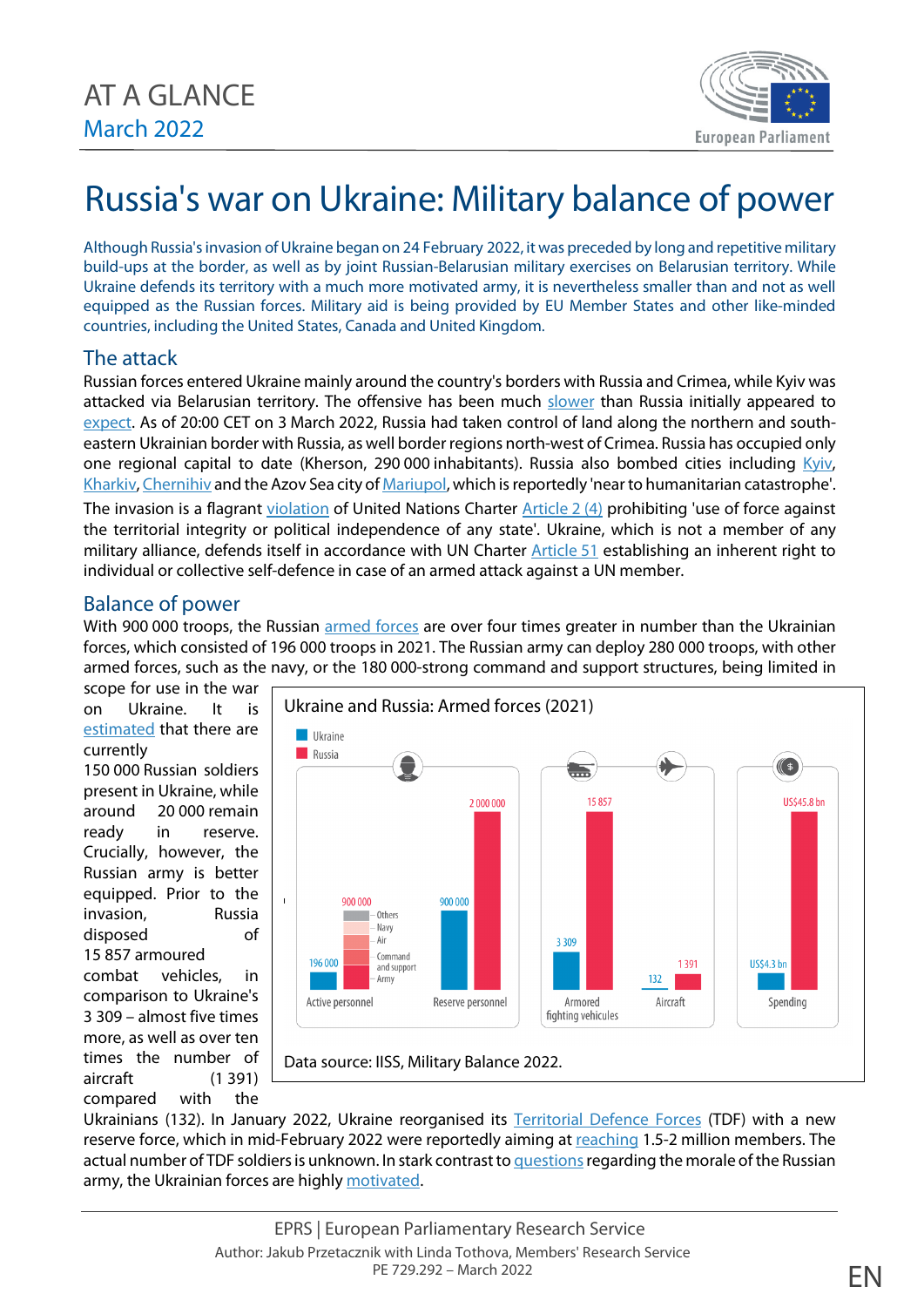

# Russia's war on Ukraine: Military balance of power

Although Russia's invasion of Ukraine began on 24 February 2022, it was preceded by long and repetitive military build-ups at the border, as well as by joint Russian-Belarusian military exercises on Belarusian territory. While Ukraine defends its territory with a much more motivated army, it is nevertheless smaller than and not as well equipped as the Russian forces. Military aid is being provided by EU Member States and other like-minded countries, including the United States, Canada and United Kingdom.

# The attack

Russian forces entered Ukraine mainly around the country's borders with Russia and Crimea, while Kyiv was attacked via Belarusian territory. The offensive has been much [slower](https://www.understandingwar.org/backgrounder/ukraine-conflict-updates) than Russia initially appeared to [expect.](https://www.businessinsider.com/ukraine-revealed-secret-battle-plans-left-behind-by-russian-troops-2022-3?r=US&IR=T) As of 20:00 CET on 3 March 2022, Russia had taken control of land along the northern and southeastern Ukrainian border with Russia, as well border regions north-west of Crimea. Russia has occupied only one regional capital to date (Kherson, 290 000 inhabitants). Russia also bombed cities including [Kyiv,](https://nypost.com/2022/03/02/grim-photos-show-ukrainians-hiding-from-russian-bombs-in-kyivs-subway-system/) [Kharkiv,](https://www.bbc.com/news/world-europe-60567162) [Chernihiv](https://www.euronews.com/2022/03/03/ukraine-residential-area-in-chernihiv-bombed-by-russian-forces) and the Azov Sea city o[f Mariupol,](https://www.bbc.com/news/world-europe-60585603) which is reportedly 'near to humanitarian catastrophe'. The invasion is a flagrant [violation](https://www.cfr.org/article/how-russias-invasion-ukraine-violates-international-law) of [United Nations](https://legal.un.org/repertory/art2.shtml) Charter Article 2 (4) prohibiting 'use of force against the territorial integrity or political independence of any state'. Ukraine, which is not a member of any military alliance, defends itself in accordance with UN Charter [Article](https://legal.un.org/repertory/art51.shtml) 51 establishing an inherent right to individual or collective self-defence in case of an armed attack against a UN member.

## Balance of power

With 900 000 troops, the Russian [armed forces](https://edition.cnn.com/2022/02/25/europe/russia-ukraine-military-comparison-intl/index.html) are over four times greater in number than the Ukrainian forces, which consisted of 196 000 troops in 2021. The Russian army can deploy 280 000 troops, with other armed forces, such as the navy, or the 180 000-strong command and support structures, being limited in

scope for use in the war on Ukraine. It is [estimated](https://www.stripes.com/theaters/europe/2022-03-03/ukraine-russian-invasion-war-pentagon-kherson-5213281.html) that there are currently

150 000 Russian soldiers present in Ukraine, while around 20 000 remain ready in reserve. Crucially, however, the Russian army is better equipped. Prior to the invasion, Russia disposed of

15 857 armoured combat vehicles, in comparison to Ukraine's 3 309 – almost five times more, as well as over ten times the number of aircraft (1 391) compared with the



Ukrainians (132). In January 2022, Ukraine reorganised its [Territorial Defence Forces](https://crsreports.congress.gov/product/pdf/IF/IF11862) (TDF) with a new reserve force, which in mid-February 2022 were reportedly aiming at [reaching](https://www.politico.eu/article/ukraine-russia-military-citizen-reservist-defense/) 1.5-2 million members. The actual number of TDF soldiers is unknown. In stark contrast to questions regarding the morale of the Russian army, the Ukrainian forces are highl[y motivated.](https://www.politico.com/news/magazine/2022/03/03/russia-struggle-ukraine-soldiers-morale-00013397)